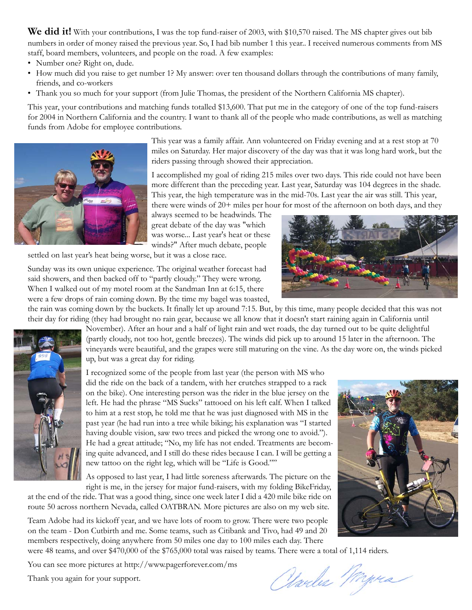We did it! With your contributions, I was the top fund-raiser of 2003, with \$10,570 raised. The MS chapter gives out bib numbers in order of money raised the previous year. So, I had bib number 1 this year.. I received numerous comments from MS staff, board members, volunteers, and people on the road. A few examples:

- Number one? Right on, dude.
- How much did you raise to get number 1? My answer: over ten thousand dollars through the contributions of many family, friends, and co-workers
- Thank you so much for your support (from Julie Thomas, the president of the Northern California MS chapter).

This year, your contributions and matching funds totalled \$13,600. That put me in the category of one of the top fund-raisers for 2004 in Northern California and the country. I want to thank all of the people who made contributions, as well as matching funds from Adobe for employee contributions.

> This year was a family affair. Ann volunteered on Friday evening and at a rest stop at 70 miles on Saturday. Her major discovery of the day was that it was long hard work, but the riders passing through showed their appreciation.

> I accomplished my goal of riding 215 miles over two days. This ride could not have been more different than the preceding year. Last year, Saturday was 104 degrees in the shade. This year, the high temperature was in the mid-70s. Last year the air was still. This year, there were winds of 20+ miles per hour for most of the afternoon on both days, and they

always seemed to be headwinds. The great debate of the day was "which was worse... Last year's heat or these winds?" After much debate, people

settled on last year's heat being worse, but it was a close race.

Sunday was its own unique experience. The original weather forecast had said showers, and then backed off to "partly cloudy." They were wrong. When I walked out of my motel room at the Sandman Inn at 6:15, there were a few drops of rain coming down. By the time my bagel was toasted,

the rain was coming down by the buckets. It finally let up around 7:15. But, by this time, many people decided that this was not their day for riding (they had brought no rain gear, because we all know that it doesn't start raining again in California until

November). After an hour and a half of light rain and wet roads, the day turned out to be quite delightful (partly cloudy, not too hot, gentle breezes). The winds did pick up to around 15 later in the afternoon. The vineyards were beautiful, and the grapes were still maturing on the vine. As the day wore on, the winds picked up, but was a great day for riding.

I recognized some of the people from last year (the person with MS who did the ride on the back of a tandem, with her crutches strapped to a rack on the bike). One interesting person was the rider in the blue jersey on the left. He had the phrase "MS Sucks" tattooed on his left calf. When I talked to him at a rest stop, he told me that he was just diagnosed with MS in the past year (he had run into a tree while biking; his explanation was "I started having double vision, saw two trees and picked the wrong one to avoid."). He had a great attitude; "No, my life has not ended. Treatments are becoming quite advanced, and I still do these rides because I can. I will be getting a new tattoo on the right leg, which will be "Life is Good.""

As opposed to last year, I had little soreness afterwards. The picture on the right is me, in the jersey for major fund-raisers, with my folding BikeFriday,

at the end of the ride. That was a good thing, since one week later I did a 420 mile bike ride on route 50 across northern Nevada, called OATBRAN. More pictures are also on my web site.

Team Adobe had its kickoff year, and we have lots of room to grow. There were two people on the team - Don Cutbirth and me. Some teams, such as Citibank and Tivo, had 49 and 20 members respectively, doing anywhere from 50 miles one day to 100 miles each day. There

were 48 teams, and over \$470,000 of the \$765,000 total was raised by teams. There were a total of 1,114 riders.

You can see more pictures at http://www.pagerforever.com/ms

Thank you again for your support.

Obarles Myrs